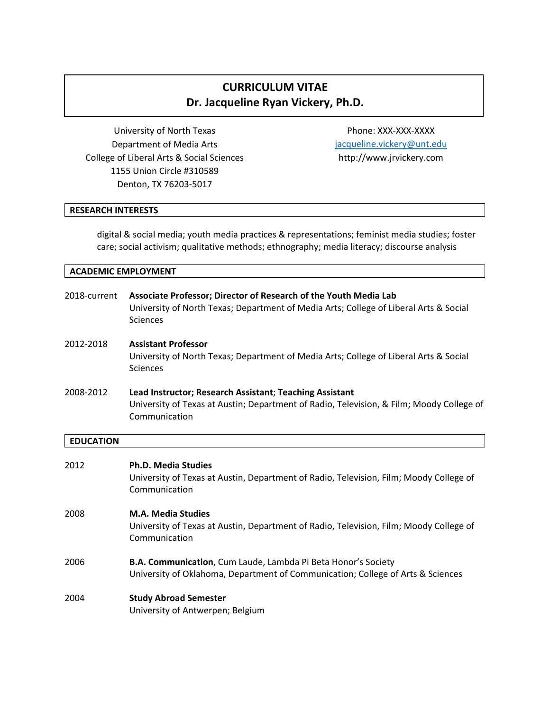# **CURRICULUM VITAE Dr. Jacqueline Ryan Vickery, Ph.D.**

University of North Texas Department of Media Arts College of Liberal Arts & Social Sciences 1155 Union Circle #310589 Denton, TX 76203-5017

Phone: XXX-XXX-XXXX [jacqueline.vickery@unt.edu](mailto:jacqueline.vickery@unt.edu) http://www.jrvickery.com

## **RESEARCH INTERESTS**

digital & social media; youth media practices & representations; feminist media studies; foster care; social activism; qualitative methods; ethnography; media literacy; discourse analysis

| 2018-current | Associate Professor; Director of Research of the Youth Media Lab<br>University of North Texas; Department of Media Arts; College of Liberal Arts & Social<br><b>Sciences</b> |
|--------------|------------------------------------------------------------------------------------------------------------------------------------------------------------------------------|
| 2012-2018    | <b>Assistant Professor</b><br>University of North Texas; Department of Media Arts; College of Liberal Arts & Social<br><b>Sciences</b>                                       |
| 2008-2012    | Lead Instructor; Research Assistant; Teaching Assistant<br>University of Texas at Austin; Department of Radio, Television, & Film; Moody College of<br>Communication         |

#### **EDUCATION**

| 2012 | <b>Ph.D. Media Studies</b><br>University of Texas at Austin, Department of Radio, Television, Film; Moody College of<br>Communication            |
|------|--------------------------------------------------------------------------------------------------------------------------------------------------|
| 2008 | <b>M.A. Media Studies</b><br>University of Texas at Austin, Department of Radio, Television, Film; Moody College of<br>Communication             |
| 2006 | B.A. Communication, Cum Laude, Lambda Pi Beta Honor's Society<br>University of Oklahoma, Department of Communication; College of Arts & Sciences |
| 2004 | <b>Study Abroad Semester</b><br>University of Antwerpen; Belgium                                                                                 |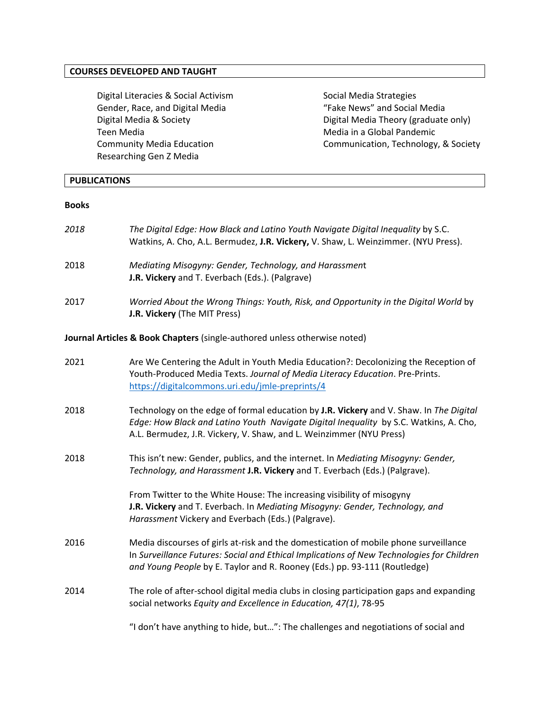## **COURSES DEVELOPED AND TAUGHT**

Digital Literacies & Social Activism Gender, Race, and Digital Media Digital Media & Society Teen Media Community Media Education Researching Gen Z Media

Social Media Strategies "Fake News" and Social Media Digital Media Theory (graduate only) Media in a Global Pandemic Communication, Technology, & Society

## **PUBLICATIONS**

#### **Books**

| 2018 | The Digital Edge: How Black and Latino Youth Navigate Digital Inequality by S.C.<br>Watkins, A. Cho, A.L. Bermudez, J.R. Vickery, V. Shaw, L. Weinzimmer. (NYU Press).                                                                                         |
|------|----------------------------------------------------------------------------------------------------------------------------------------------------------------------------------------------------------------------------------------------------------------|
| 2018 | Mediating Misogyny: Gender, Technology, and Harassment<br>J.R. Vickery and T. Everbach (Eds.). (Palgrave)                                                                                                                                                      |
| 2017 | Worried About the Wrong Things: Youth, Risk, and Opportunity in the Digital World by<br>J.R. Vickery (The MIT Press)                                                                                                                                           |
|      | Journal Articles & Book Chapters (single-authored unless otherwise noted)                                                                                                                                                                                      |
| 2021 | Are We Centering the Adult in Youth Media Education?: Decolonizing the Reception of<br>Youth-Produced Media Texts. Journal of Media Literacy Education. Pre-Prints.<br>https://digitalcommons.uri.edu/jmle-preprints/4                                         |
| 2018 | Technology on the edge of formal education by J.R. Vickery and V. Shaw. In The Digital<br>Edge: How Black and Latino Youth Navigate Digital Inequality by S.C. Watkins, A. Cho,<br>A.L. Bermudez, J.R. Vickery, V. Shaw, and L. Weinzimmer (NYU Press)         |
| 2018 | This isn't new: Gender, publics, and the internet. In Mediating Misogyny: Gender,<br>Technology, and Harassment J.R. Vickery and T. Everbach (Eds.) (Palgrave).                                                                                                |
|      | From Twitter to the White House: The increasing visibility of misogyny<br>J.R. Vickery and T. Everbach. In Mediating Misogyny: Gender, Technology, and<br>Harassment Vickery and Everbach (Eds.) (Palgrave).                                                   |
| 2016 | Media discourses of girls at-risk and the domestication of mobile phone surveillance<br>In Surveillance Futures: Social and Ethical Implications of New Technologies for Children<br>and Young People by E. Taylor and R. Rooney (Eds.) pp. 93-111 (Routledge) |
| 2014 | The role of after-school digital media clubs in closing participation gaps and expanding<br>social networks Equity and Excellence in Education, 47(1), 78-95                                                                                                   |
|      | "I don't have anything to hide, but": The challenges and negotiations of social and                                                                                                                                                                            |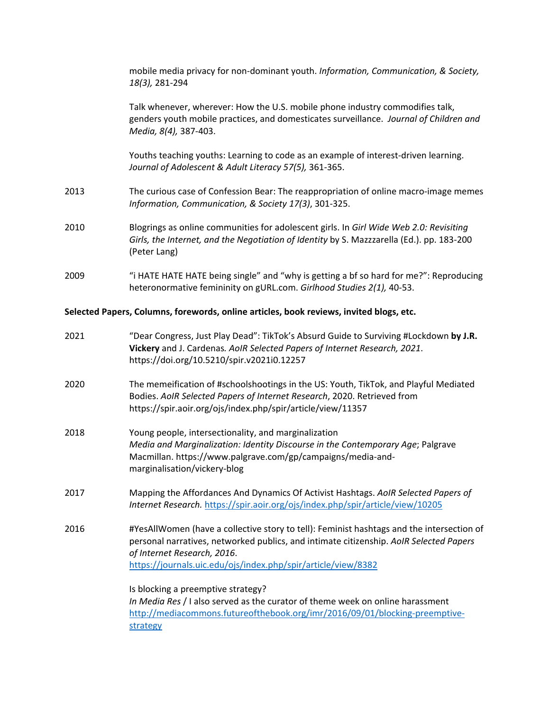|      | mobile media privacy for non-dominant youth. Information, Communication, & Society,<br>18(3), 281-294                                                                                                                                                                               |
|------|-------------------------------------------------------------------------------------------------------------------------------------------------------------------------------------------------------------------------------------------------------------------------------------|
|      | Talk whenever, wherever: How the U.S. mobile phone industry commodifies talk,<br>genders youth mobile practices, and domesticates surveillance. Journal of Children and<br>Media, 8(4), 387-403.                                                                                    |
|      | Youths teaching youths: Learning to code as an example of interest-driven learning.<br>Journal of Adolescent & Adult Literacy 57(5), 361-365.                                                                                                                                       |
| 2013 | The curious case of Confession Bear: The reappropriation of online macro-image memes<br>Information, Communication, & Society 17(3), 301-325.                                                                                                                                       |
| 2010 | Blogrings as online communities for adolescent girls. In Girl Wide Web 2.0: Revisiting<br>Girls, the Internet, and the Negotiation of Identity by S. Mazzzarella (Ed.). pp. 183-200<br>(Peter Lang)                                                                                 |
| 2009 | "i HATE HATE HATE being single" and "why is getting a bf so hard for me?": Reproducing<br>heteronormative femininity on gURL.com. Girlhood Studies 2(1), 40-53.                                                                                                                     |
|      | Selected Papers, Columns, forewords, online articles, book reviews, invited blogs, etc.                                                                                                                                                                                             |
| 2021 | "Dear Congress, Just Play Dead": TikTok's Absurd Guide to Surviving #Lockdown by J.R.<br>Vickery and J. Cardenas. AoIR Selected Papers of Internet Research, 2021.<br>https://doi.org/10.5210/spir.v2021i0.12257                                                                    |
| 2020 | The memeification of #schoolshootings in the US: Youth, TikTok, and Playful Mediated<br>Bodies. AoIR Selected Papers of Internet Research, 2020. Retrieved from<br>https://spir.aoir.org/ojs/index.php/spir/article/view/11357                                                      |
| 2018 | Young people, intersectionality, and marginalization<br>Media and Marginalization: Identity Discourse in the Contemporary Age; Palgrave<br>Macmillan. https://www.palgrave.com/gp/campaigns/media-and-<br>marginalisation/vickery-blog                                              |
| 2017 | Mapping the Affordances And Dynamics Of Activist Hashtags. AoIR Selected Papers of<br>Internet Research. https://spir.aoir.org/ojs/index.php/spir/article/view/10205                                                                                                                |
| 2016 | #YesAllWomen (have a collective story to tell): Feminist hashtags and the intersection of<br>personal narratives, networked publics, and intimate citizenship. AoIR Selected Papers<br>of Internet Research, 2016.<br>https://journals.uic.edu/ojs/index.php/spir/article/view/8382 |
|      | Is blocking a preemptive strategy?                                                                                                                                                                                                                                                  |

*In Media Res* / I also served as the curator of theme week on online harassment [http://mediacommons.futureofthebook.org/imr/2016/09/01/blocking-preemptive](http://mediacommons.futureofthebook.org/imr/2016/09/01/blocking-preemptive-strategy)[strategy](http://mediacommons.futureofthebook.org/imr/2016/09/01/blocking-preemptive-strategy)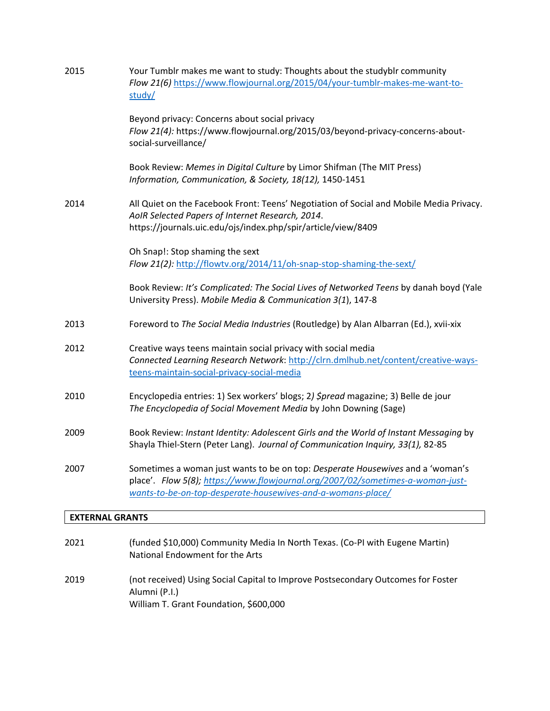| 2015 | Your Tumblr makes me want to study: Thoughts about the studyblr community<br>Flow 21(6) https://www.flowjournal.org/2015/04/your-tumblr-makes-me-want-to-<br>study/                                                             |
|------|---------------------------------------------------------------------------------------------------------------------------------------------------------------------------------------------------------------------------------|
|      | Beyond privacy: Concerns about social privacy<br>Flow 21(4): https://www.flowjournal.org/2015/03/beyond-privacy-concerns-about-<br>social-surveillance/                                                                         |
|      | Book Review: Memes in Digital Culture by Limor Shifman (The MIT Press)<br>Information, Communication, & Society, 18(12), 1450-1451                                                                                              |
| 2014 | All Quiet on the Facebook Front: Teens' Negotiation of Social and Mobile Media Privacy.<br>AoIR Selected Papers of Internet Research, 2014.<br>https://journals.uic.edu/ojs/index.php/spir/article/view/8409                    |
|      | Oh Snap!: Stop shaming the sext                                                                                                                                                                                                 |
|      | Flow 21(2): http://flowtv.org/2014/11/oh-snap-stop-shaming-the-sext/                                                                                                                                                            |
|      | Book Review: It's Complicated: The Social Lives of Networked Teens by danah boyd (Yale<br>University Press). Mobile Media & Communication 3(1), 147-8                                                                           |
| 2013 | Foreword to The Social Media Industries (Routledge) by Alan Albarran (Ed.), xvii-xix                                                                                                                                            |
| 2012 | Creative ways teens maintain social privacy with social media<br>Connected Learning Research Network: http://clrn.dmlhub.net/content/creative-ways-<br>teens-maintain-social-privacy-social-media                               |
| 2010 | Encyclopedia entries: 1) Sex workers' blogs; 2) Spread magazine; 3) Belle de jour<br>The Encyclopedia of Social Movement Media by John Downing (Sage)                                                                           |
| 2009 | Book Review: Instant Identity: Adolescent Girls and the World of Instant Messaging by<br>Shayla Thiel-Stern (Peter Lang). Journal of Communication Inquiry, 33(1), 82-85                                                        |
| 2007 | Sometimes a woman just wants to be on top: Desperate Housewives and a 'woman's<br>place'. Flow 5(8); https://www.flowjournal.org/2007/02/sometimes-a-woman-just-<br>wants-to-be-on-top-desperate-housewives-and-a-womans-place/ |
|      | <b>EXTERNAL GRANTS</b>                                                                                                                                                                                                          |

| 2021 | (funded \$10,000) Community Media In North Texas. (Co-PI with Eugene Martin)<br>National Endowment for the Arts                             |
|------|---------------------------------------------------------------------------------------------------------------------------------------------|
| 2019 | (not received) Using Social Capital to Improve Postsecondary Outcomes for Foster<br>Alumni (P.I.)<br>William T. Grant Foundation, \$600,000 |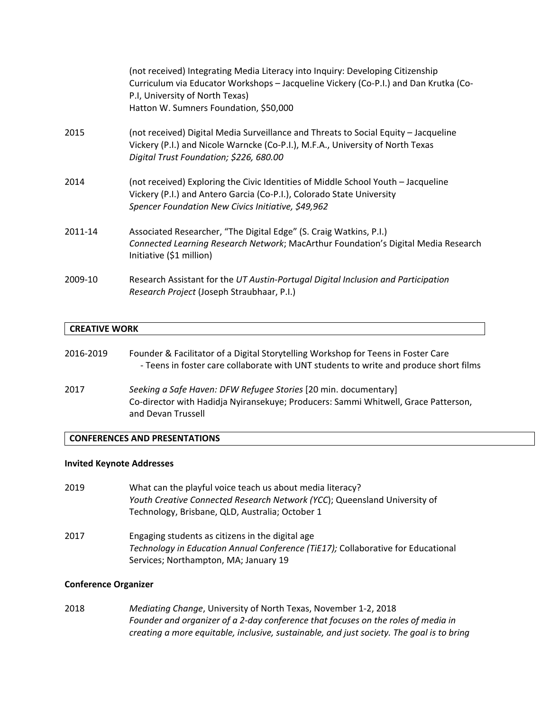|         | (not received) Integrating Media Literacy into Inquiry: Developing Citizenship<br>Curriculum via Educator Workshops - Jacqueline Vickery (Co-P.I.) and Dan Krutka (Co-<br>P.I, University of North Texas)<br>Hatton W. Sumners Foundation, \$50,000 |
|---------|-----------------------------------------------------------------------------------------------------------------------------------------------------------------------------------------------------------------------------------------------------|
| 2015    | (not received) Digital Media Surveillance and Threats to Social Equity - Jacqueline<br>Vickery (P.I.) and Nicole Warncke (Co-P.I.), M.F.A., University of North Texas<br>Digital Trust Foundation; \$226, 680.00                                    |
| 2014    | (not received) Exploring the Civic Identities of Middle School Youth - Jacqueline<br>Vickery (P.I.) and Antero Garcia (Co-P.I.), Colorado State University<br>Spencer Foundation New Civics Initiative, \$49,962                                    |
| 2011-14 | Associated Researcher, "The Digital Edge" (S. Craig Watkins, P.I.)<br>Connected Learning Research Network; MacArthur Foundation's Digital Media Research<br>Initiative (\$1 million)                                                                |
| 2009-10 | Research Assistant for the UT Austin-Portugal Digital Inclusion and Participation<br>Research Project (Joseph Straubhaar, P.I.)                                                                                                                     |

## **CREATIVE WORK**

| 2016-2019 | Founder & Facilitator of a Digital Storytelling Workshop for Teens in Foster Care<br>- Teens in foster care collaborate with UNT students to write and produce short films  |
|-----------|-----------------------------------------------------------------------------------------------------------------------------------------------------------------------------|
| 2017      | Seeking a Safe Haven: DFW Refugee Stories [20 min. documentary]<br>Co-director with Hadidja Nyiransekuye; Producers: Sammi Whitwell, Grace Patterson,<br>and Devan Trussell |

## **CONFERENCES AND PRESENTATIONS**

## **Invited Keynote Addresses**

| 2019 | What can the playful voice teach us about media literacy?<br>Youth Creative Connected Research Network (YCC); Queensland University of<br>Technology, Brisbane, QLD, Australia; October 1 |
|------|-------------------------------------------------------------------------------------------------------------------------------------------------------------------------------------------|
| 2017 | Engaging students as citizens in the digital age<br>Technology in Education Annual Conference (TiE17); Collaborative for Educational<br>Services; Northampton, MA; January 19             |

## **Conference Organizer**

2018 *Mediating Change*, University of North Texas, November 1-2, 2018 *Founder and organizer of a 2-day conference that focuses on the roles of media in creating a more equitable, inclusive, sustainable, and just society. The goal is to bring*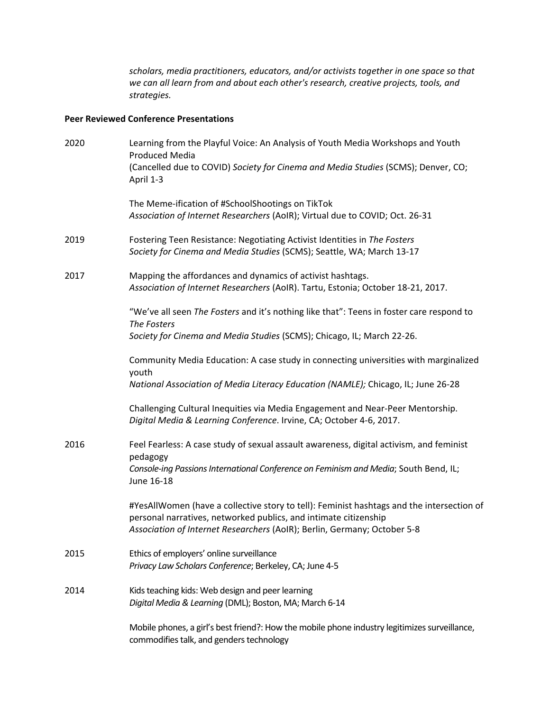*scholars, media practitioners, educators, and/or activists together in one space so that we can all learn from and about each other's research, creative projects, tools, and strategies.*

## **Peer Reviewed Conference Presentations**

| 2020 | Learning from the Playful Voice: An Analysis of Youth Media Workshops and Youth<br><b>Produced Media</b>                                                                                                                                  |
|------|-------------------------------------------------------------------------------------------------------------------------------------------------------------------------------------------------------------------------------------------|
|      | (Cancelled due to COVID) Society for Cinema and Media Studies (SCMS); Denver, CO;<br>April 1-3                                                                                                                                            |
|      | The Meme-ification of #SchoolShootings on TikTok<br>Association of Internet Researchers (AoIR); Virtual due to COVID; Oct. 26-31                                                                                                          |
| 2019 | Fostering Teen Resistance: Negotiating Activist Identities in The Fosters<br>Society for Cinema and Media Studies (SCMS); Seattle, WA; March 13-17                                                                                        |
| 2017 | Mapping the affordances and dynamics of activist hashtags.<br>Association of Internet Researchers (AoIR). Tartu, Estonia; October 18-21, 2017.                                                                                            |
|      | "We've all seen The Fosters and it's nothing like that": Teens in foster care respond to<br>The Fosters                                                                                                                                   |
|      | Society for Cinema and Media Studies (SCMS); Chicago, IL; March 22-26.                                                                                                                                                                    |
|      | Community Media Education: A case study in connecting universities with marginalized<br>youth                                                                                                                                             |
|      | National Association of Media Literacy Education (NAMLE); Chicago, IL; June 26-28                                                                                                                                                         |
|      | Challenging Cultural Inequities via Media Engagement and Near-Peer Mentorship.<br>Digital Media & Learning Conference. Irvine, CA; October 4-6, 2017.                                                                                     |
| 2016 | Feel Fearless: A case study of sexual assault awareness, digital activism, and feminist<br>pedagogy                                                                                                                                       |
|      | Console-ing Passions International Conference on Feminism and Media; South Bend, IL;<br>June 16-18                                                                                                                                        |
|      | #YesAllWomen (have a collective story to tell): Feminist hashtags and the intersection of<br>personal narratives, networked publics, and intimate citizenship<br>Association of Internet Researchers (AoIR); Berlin, Germany; October 5-8 |
| 2015 | Ethics of employers' online surveillance<br>Privacy Law Scholars Conference; Berkeley, CA; June 4-5                                                                                                                                       |
| 2014 | Kids teaching kids: Web design and peer learning<br>Digital Media & Learning (DML); Boston, MA; March 6-14                                                                                                                                |
|      | Mobile phones, a girl's best friend?: How the mobile phone industry legitimizes surveillance,<br>commodifies talk, and genders technology                                                                                                 |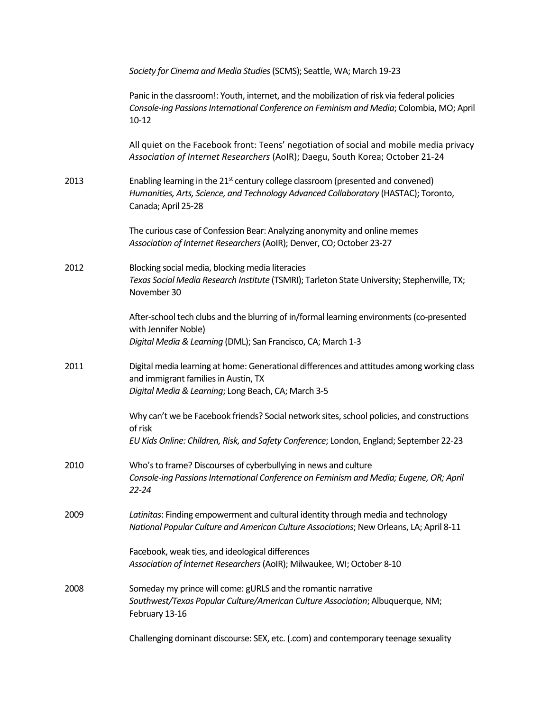|      | Society for Cinema and Media Studies (SCMS); Seattle, WA; March 19-23                                                                                                                                      |
|------|------------------------------------------------------------------------------------------------------------------------------------------------------------------------------------------------------------|
|      | Panic in the classroom!: Youth, internet, and the mobilization of risk via federal policies<br>Console-ing Passions International Conference on Feminism and Media; Colombia, MO; April<br>$10 - 12$       |
|      | All quiet on the Facebook front: Teens' negotiation of social and mobile media privacy<br>Association of Internet Researchers (AoIR); Daegu, South Korea; October 21-24                                    |
| 2013 | Enabling learning in the 21 <sup>st</sup> century college classroom (presented and convened)<br>Humanities, Arts, Science, and Technology Advanced Collaboratory (HASTAC); Toronto,<br>Canada; April 25-28 |
|      | The curious case of Confession Bear: Analyzing anonymity and online memes<br>Association of Internet Researchers (AoIR); Denver, CO; October 23-27                                                         |
| 2012 | Blocking social media, blocking media literacies<br>Texas Social Media Research Institute (TSMRI); Tarleton State University; Stephenville, TX;<br>November 30                                             |
|      | After-school tech clubs and the blurring of in/formal learning environments (co-presented<br>with Jennifer Noble)<br>Digital Media & Learning (DML); San Francisco, CA; March 1-3                          |
| 2011 | Digital media learning at home: Generational differences and attitudes among working class<br>and immigrant families in Austin, TX<br>Digital Media & Learning; Long Beach, CA; March 3-5                  |
|      | Why can't we be Facebook friends? Social network sites, school policies, and constructions<br>of risk<br>EU Kids Online: Children, Risk, and Safety Conference; London, England; September 22-23           |
| 2010 | Who's to frame? Discourses of cyberbullying in news and culture<br>Console-ing Passions International Conference on Feminism and Media; Eugene, OR; April<br>$22 - 24$                                     |
| 2009 | Latinitas: Finding empowerment and cultural identity through media and technology<br>National Popular Culture and American Culture Associations; New Orleans, LA; April 8-11                               |
|      | Facebook, weak ties, and ideological differences<br>Association of Internet Researchers (AoIR); Milwaukee, WI; October 8-10                                                                                |
| 2008 | Someday my prince will come: gURLS and the romantic narrative<br>Southwest/Texas Popular Culture/American Culture Association; Albuquerque, NM;<br>February 13-16                                          |
|      | Challenging dominant discourse: SEX, etc. (.com) and contemporary teenage sexuality                                                                                                                        |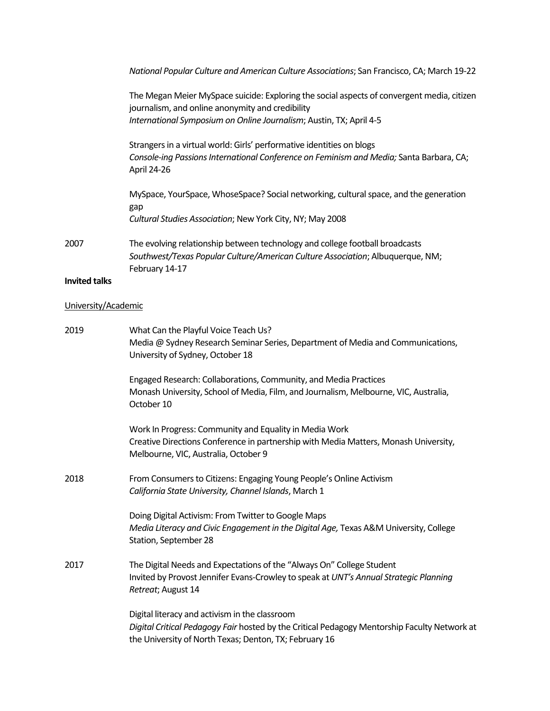|                      | National Popular Culture and American Culture Associations; San Francisco, CA; March 19-22                                                                                                                            |
|----------------------|-----------------------------------------------------------------------------------------------------------------------------------------------------------------------------------------------------------------------|
|                      | The Megan Meier MySpace suicide: Exploring the social aspects of convergent media, citizen<br>journalism, and online anonymity and credibility<br>International Symposium on Online Journalism; Austin, TX; April 4-5 |
|                      | Strangers in a virtual world: Girls' performative identities on blogs<br>Console-ing Passions International Conference on Feminism and Media; Santa Barbara, CA;<br>April 24-26                                       |
|                      | MySpace, YourSpace, WhoseSpace? Social networking, cultural space, and the generation<br>gap<br>Cultural Studies Association; New York City, NY; May 2008                                                             |
| 2007                 | The evolving relationship between technology and college football broadcasts<br>Southwest/Texas Popular Culture/American Culture Association; Albuquerque, NM;<br>February 14-17                                      |
| <b>Invited talks</b> |                                                                                                                                                                                                                       |
|                      |                                                                                                                                                                                                                       |

## University/Academic

| 2019 | What Can the Playful Voice Teach Us?<br>Media @ Sydney Research Seminar Series, Department of Media and Communications,<br>University of Sydney, October 18                                              |
|------|----------------------------------------------------------------------------------------------------------------------------------------------------------------------------------------------------------|
|      | Engaged Research: Collaborations, Community, and Media Practices<br>Monash University, School of Media, Film, and Journalism, Melbourne, VIC, Australia,<br>October 10                                   |
|      | Work In Progress: Community and Equality in Media Work<br>Creative Directions Conference in partnership with Media Matters, Monash University,<br>Melbourne, VIC, Australia, October 9                   |
| 2018 | From Consumers to Citizens: Engaging Young People's Online Activism<br>California State University, Channel Islands, March 1                                                                             |
|      | Doing Digital Activism: From Twitter to Google Maps<br>Media Literacy and Civic Engagement in the Digital Age, Texas A&M University, College<br>Station, September 28                                    |
| 2017 | The Digital Needs and Expectations of the "Always On" College Student<br>Invited by Provost Jennifer Evans-Crowley to speak at UNT's Annual Strategic Planning<br>Retreat; August 14                     |
|      | Digital literacy and activism in the classroom<br>Digital Critical Pedagogy Fair hosted by the Critical Pedagogy Mentorship Faculty Network at<br>the University of North Texas; Denton, TX; February 16 |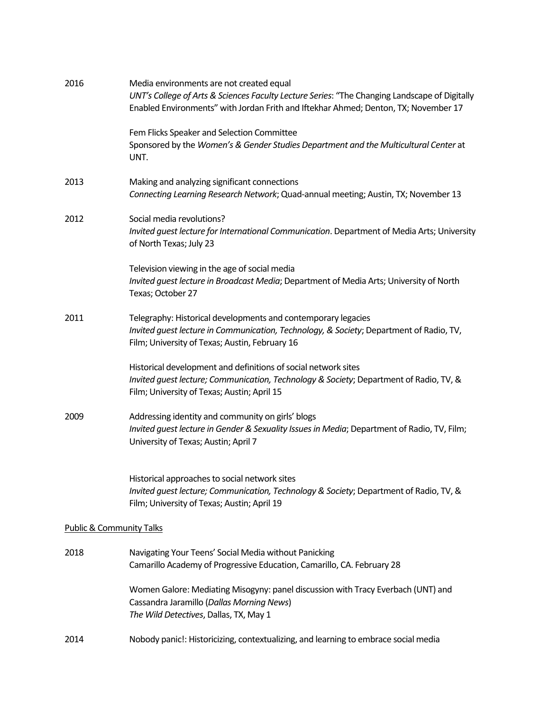| 2016 | Media environments are not created equal<br>UNT's College of Arts & Sciences Faculty Lecture Series: "The Changing Landscape of Digitally<br>Enabled Environments" with Jordan Frith and Iftekhar Ahmed; Denton, TX; November 17 |
|------|----------------------------------------------------------------------------------------------------------------------------------------------------------------------------------------------------------------------------------|
|      | Fem Flicks Speaker and Selection Committee<br>Sponsored by the Women's & Gender Studies Department and the Multicultural Center at<br>UNT.                                                                                       |
| 2013 | Making and analyzing significant connections<br>Connecting Learning Research Network; Quad-annual meeting; Austin, TX; November 13                                                                                               |
| 2012 | Social media revolutions?<br>Invited guest lecture for International Communication. Department of Media Arts; University<br>of North Texas; July 23                                                                              |
|      | Television viewing in the age of social media<br>Invited guest lecture in Broadcast Media; Department of Media Arts; University of North<br>Texas; October 27                                                                    |
| 2011 | Telegraphy: Historical developments and contemporary legacies<br>Invited guest lecture in Communication, Technology, & Society; Department of Radio, TV,<br>Film; University of Texas; Austin, February 16                       |
|      | Historical development and definitions of social network sites<br>Invited guest lecture; Communication, Technology & Society; Department of Radio, TV, &<br>Film; University of Texas; Austin; April 15                          |
| 2009 | Addressing identity and community on girls' blogs<br>Invited quest lecture in Gender & Sexuality Issues in Media; Department of Radio, TV, Film;<br>University of Texas; Austin; April 7                                         |
|      | Historical approaches to social network sites<br>Invited guest lecture; Communication, Technology & Society; Department of Radio, TV, &<br>Film; University of Texas; Austin; April 19                                           |
|      | <b>Public &amp; Community Talks</b>                                                                                                                                                                                              |
| 2018 | Navigating Your Teens' Social Media without Panicking<br>Camarillo Academy of Progressive Education, Camarillo, CA. February 28                                                                                                  |
|      | Women Galore: Mediating Misogyny: panel discussion with Tracy Everbach (UNT) and<br>Cassandra Jaramillo (Dallas Morning News)<br>The Wild Detectives, Dallas, TX, May 1                                                          |
| 2014 | Nobody panic!: Historicizing, contextualizing, and learning to embrace social media                                                                                                                                              |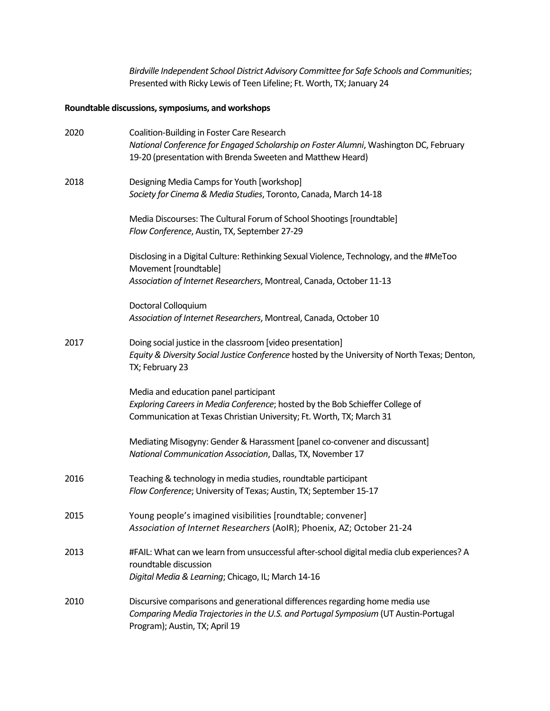*Birdville Independent School District Advisory Committee for Safe Schools and Communities*; Presented with Ricky Lewis of Teen Lifeline; Ft. Worth, TX; January 24

## **Roundtable discussions, symposiums, and workshops**

| 2020 | Coalition-Building in Foster Care Research                                                                                                                                                            |
|------|-------------------------------------------------------------------------------------------------------------------------------------------------------------------------------------------------------|
|      | National Conference for Engaged Scholarship on Foster Alumni, Washington DC, February<br>19-20 (presentation with Brenda Sweeten and Matthew Heard)                                                   |
| 2018 | Designing Media Camps for Youth [workshop]<br>Society for Cinema & Media Studies, Toronto, Canada, March 14-18                                                                                        |
|      | Media Discourses: The Cultural Forum of School Shootings [roundtable]<br>Flow Conference, Austin, TX, September 27-29                                                                                 |
|      | Disclosing in a Digital Culture: Rethinking Sexual Violence, Technology, and the #MeToo<br>Movement [roundtable]<br>Association of Internet Researchers, Montreal, Canada, October 11-13              |
|      |                                                                                                                                                                                                       |
|      | Doctoral Colloquium<br>Association of Internet Researchers, Montreal, Canada, October 10                                                                                                              |
| 2017 | Doing social justice in the classroom [video presentation]<br>Equity & Diversity Social Justice Conference hosted by the University of North Texas; Denton,<br>TX; February 23                        |
|      | Media and education panel participant                                                                                                                                                                 |
|      | Exploring Careers in Media Conference; hosted by the Bob Schieffer College of<br>Communication at Texas Christian University; Ft. Worth, TX; March 31                                                 |
|      | Mediating Misogyny: Gender & Harassment [panel co-convener and discussant]<br>National Communication Association, Dallas, TX, November 17                                                             |
| 2016 | Teaching & technology in media studies, roundtable participant<br>Flow Conference; University of Texas; Austin, TX; September 15-17                                                                   |
| 2015 | Young people's imagined visibilities [roundtable; convener]<br>Association of Internet Researchers (AoIR); Phoenix, AZ; October 21-24                                                                 |
| 2013 | #FAIL: What can we learn from unsuccessful after-school digital media club experiences? A<br>roundtable discussion                                                                                    |
|      | Digital Media & Learning; Chicago, IL; March 14-16                                                                                                                                                    |
| 2010 | Discursive comparisons and generational differences regarding home media use<br>Comparing Media Trajectories in the U.S. and Portugal Symposium (UT Austin-Portugal<br>Program); Austin, TX; April 19 |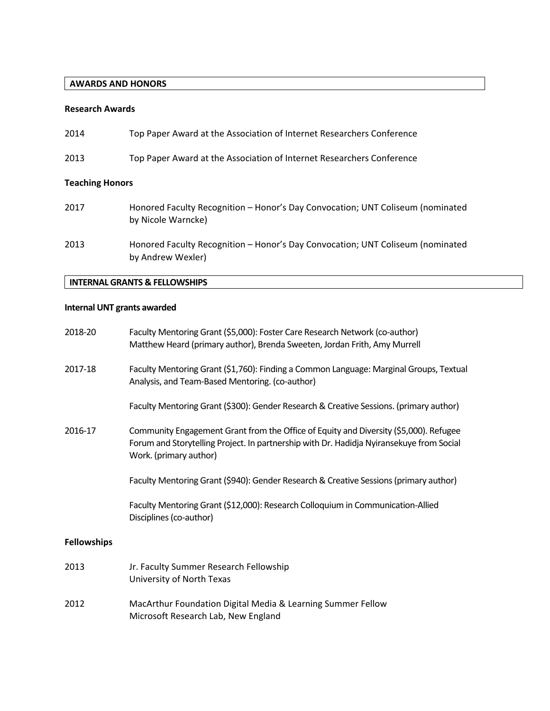## **AWARDS AND HONORS**

## **Research Awards**

| 2014                   | Top Paper Award at the Association of Internet Researchers Conference                                |
|------------------------|------------------------------------------------------------------------------------------------------|
| 2013                   | Top Paper Award at the Association of Internet Researchers Conference                                |
| <b>Teaching Honors</b> |                                                                                                      |
| 2017                   | Honored Faculty Recognition - Honor's Day Convocation; UNT Coliseum (nominated<br>by Nicole Warncke) |
| 2013                   | Honored Faculty Recognition - Honor's Day Convocation; UNT Coliseum (nominated<br>by Andrew Wexler)  |

## **INTERNAL GRANTS & FELLOWSHIPS**

## **Internal UNT grants awarded**

| 2018-20            | Faculty Mentoring Grant (\$5,000): Foster Care Research Network (co-author)<br>Matthew Heard (primary author), Brenda Sweeten, Jordan Frith, Amy Murrell                                                    |
|--------------------|-------------------------------------------------------------------------------------------------------------------------------------------------------------------------------------------------------------|
| 2017-18            | Faculty Mentoring Grant (\$1,760): Finding a Common Language: Marginal Groups, Textual<br>Analysis, and Team-Based Mentoring. (co-author)                                                                   |
|                    | Faculty Mentoring Grant (\$300): Gender Research & Creative Sessions. (primary author)                                                                                                                      |
| 2016-17            | Community Engagement Grant from the Office of Equity and Diversity (\$5,000). Refugee<br>Forum and Storytelling Project. In partnership with Dr. Hadidja Nyiransekuye from Social<br>Work. (primary author) |
|                    | Faculty Mentoring Grant (\$940): Gender Research & Creative Sessions (primary author)                                                                                                                       |
|                    | Faculty Mentoring Grant (\$12,000): Research Colloquium in Communication-Allied<br>Disciplines (co-author)                                                                                                  |
| <b>Fellowships</b> |                                                                                                                                                                                                             |
| 2013               | Jr. Faculty Summer Research Fellowship<br>University of North Texas                                                                                                                                         |
| 2012               | MacArthur Foundation Digital Media & Learning Summer Fellow<br>Microsoft Research Lab, New England                                                                                                          |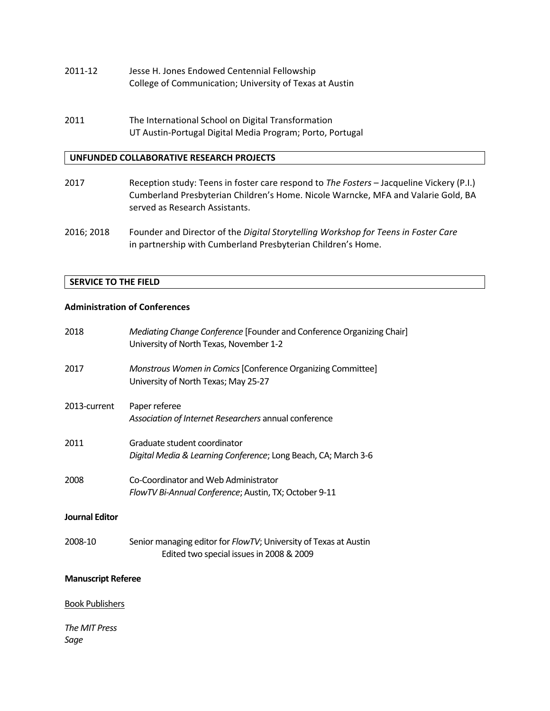- 2011-12 Jesse H. Jones Endowed Centennial Fellowship College of Communication; University of Texas at Austin
- 2011 The International School on Digital Transformation UT Austin-Portugal Digital Media Program; Porto, Portugal

## **UNFUNDED COLLABORATIVE RESEARCH PROJECTS**

- 2017 Reception study: Teens in foster care respond to *The Fosters* Jacqueline Vickery (P.I.) Cumberland Presbyterian Children's Home. Nicole Warncke, MFA and Valarie Gold, BA served as Research Assistants.
- 2016; 2018 Founder and Director of the *Digital Storytelling Workshop for Teens in Foster Care* in partnership with Cumberland Presbyterian Children's Home.

## **SERVICE TO THE FIELD**

## **Administration of Conferences**

| 2018                      | Mediating Change Conference [Founder and Conference Organizing Chair]<br>University of North Texas, November 1-2 |
|---------------------------|------------------------------------------------------------------------------------------------------------------|
| 2017                      | Monstrous Women in Comics [Conference Organizing Committee]<br>University of North Texas; May 25-27              |
| 2013-current              | Paper referee<br>Association of Internet Researchers annual conference                                           |
| 2011                      | Graduate student coordinator<br>Digital Media & Learning Conference; Long Beach, CA; March 3-6                   |
| 2008                      | Co-Coordinator and Web Administrator<br>FlowTV Bi-Annual Conference; Austin, TX; October 9-11                    |
| <b>Journal Editor</b>     |                                                                                                                  |
| 2008-10                   | Senior managing editor for FlowTV; University of Texas at Austin<br>Edited two special issues in 2008 & 2009     |
| <b>Manuscript Referee</b> |                                                                                                                  |
| <b>Book Publishers</b>    |                                                                                                                  |
| The MIT Press<br>Sage     |                                                                                                                  |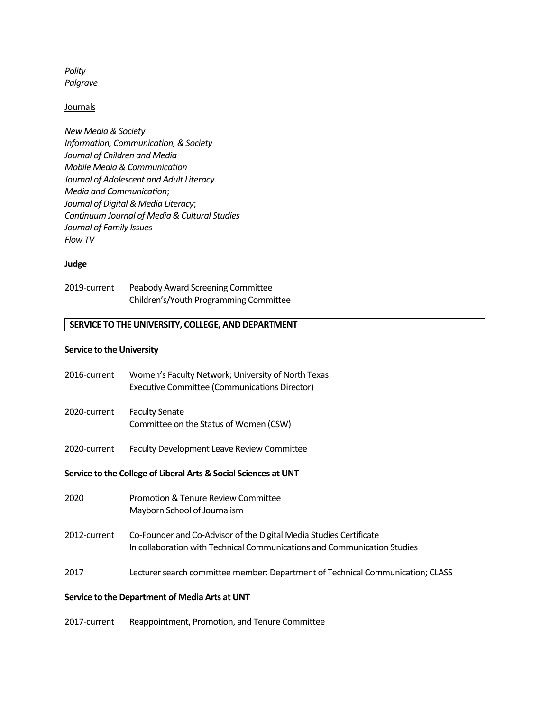*Polity Palgrave* 

#### **Journals**

*New Media & Society Information, Communication, & Society Journal of Children and Media Mobile Media & Communication Journal of Adolescent and Adult Literacy Media and Communication*; *Journal of Digital & Media Literacy*; *Continuum Journal of Media & Cultural Studies Journal of Family Issues Flow TV*

#### **Judge**

| 2019-current | Peabody Award Screening Committee      |
|--------------|----------------------------------------|
|              | Children's/Youth Programming Committee |

#### **SERVICE TO THE UNIVERSITY, COLLEGE, AND DEPARTMENT**

#### **Service to the University**

| 2016-current | Women's Faculty Network; University of North Texas |
|--------------|----------------------------------------------------|
|              | Executive Committee (Communications Director)      |

- 2020-current Faculty Senate Committee on the Status of Women (CSW)
- 2020-current Faculty Development Leave Review Committee

#### **Service to the College of Liberal Arts & Social Sciences at UNT**

- 2020 Promotion & Tenure Review Committee Mayborn School of Journalism
- 2012-current Co-Founder and Co-Advisor of the Digital Media Studies Certificate In collaboration with Technical Communications and Communication Studies
- 2017 Lecturer search committee member: Department of Technical Communication; CLASS

#### **Service to the Department of Media Arts at UNT**

2017-current Reappointment, Promotion, and Tenure Committee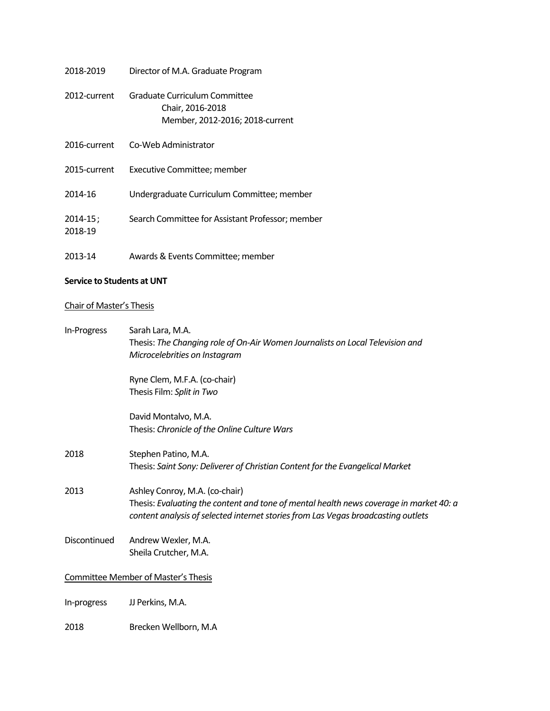| 2018-2019                | Director of M.A. Graduate Program                                                    |
|--------------------------|--------------------------------------------------------------------------------------|
| 2012-current             | Graduate Curriculum Committee<br>Chair, 2016-2018<br>Member, 2012-2016; 2018-current |
| 2016-current             | Co-Web Administrator                                                                 |
| 2015-current             | Executive Committee; member                                                          |
| 2014-16                  | Undergraduate Curriculum Committee; member                                           |
| $2014 - 15$ ;<br>2018-19 | Search Committee for Assistant Professor; member                                     |
| 2013-14                  | Awards & Events Committee; member                                                    |

## **Service to Students at UNT**

## Chair of Master's Thesis

| In-Progress  | Sarah Lara, M.A.                                                                                                                                                            |
|--------------|-----------------------------------------------------------------------------------------------------------------------------------------------------------------------------|
|              | Thesis: The Changing role of On-Air Women Journalists on Local Television and                                                                                               |
|              | Microcelebrities on Instagram                                                                                                                                               |
|              | Ryne Clem, M.F.A. (co-chair)                                                                                                                                                |
|              | Thesis Film: Split in Two                                                                                                                                                   |
|              | David Montalvo, M.A.                                                                                                                                                        |
|              | Thesis: Chronicle of the Online Culture Wars                                                                                                                                |
| 2018         | Stephen Patino, M.A.                                                                                                                                                        |
|              | Thesis: Saint Sony: Deliverer of Christian Content for the Evangelical Market                                                                                               |
| 2013         | Ashley Conroy, M.A. (co-chair)                                                                                                                                              |
|              | Thesis: Evaluating the content and tone of mental health news coverage in market 40: a<br>content analysis of selected internet stories from Las Vegas broadcasting outlets |
| Discontinued | Andrew Wexler, M.A.                                                                                                                                                         |
|              | Sheila Crutcher, M.A.                                                                                                                                                       |
|              | <b>Committee Member of Master's Thesis</b>                                                                                                                                  |
| In-progress  | JJ Perkins, M.A.                                                                                                                                                            |
| 2018         | Brecken Wellborn, M.A                                                                                                                                                       |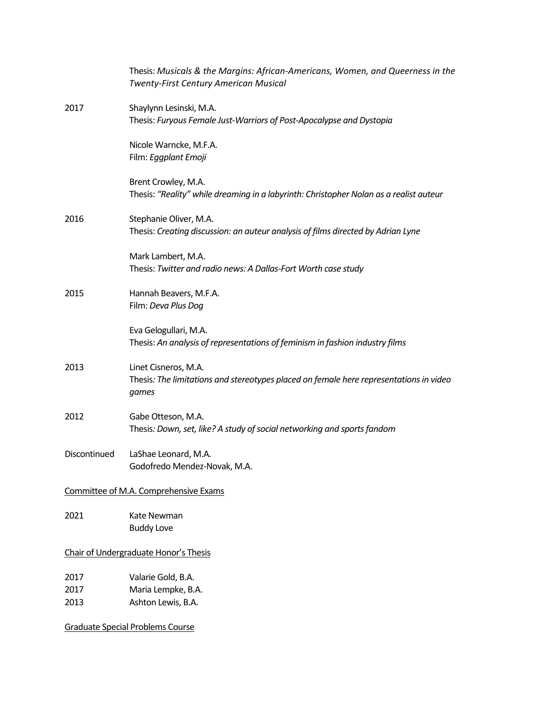|                                       | Thesis: Musicals & the Margins: African-Americans, Women, and Queerness in the<br><b>Twenty-First Century American Musical</b> |  |
|---------------------------------------|--------------------------------------------------------------------------------------------------------------------------------|--|
| 2017                                  | Shaylynn Lesinski, M.A.<br>Thesis: Furyous Female Just-Warriors of Post-Apocalypse and Dystopia                                |  |
|                                       | Nicole Warncke, M.F.A.<br>Film: Eggplant Emoji                                                                                 |  |
|                                       | Brent Crowley, M.A.<br>Thesis: "Reality" while dreaming in a labyrinth: Christopher Nolan as a realist auteur                  |  |
| 2016                                  | Stephanie Oliver, M.A.<br>Thesis: Creating discussion: an auteur analysis of films directed by Adrian Lyne                     |  |
|                                       | Mark Lambert, M.A.<br>Thesis: Twitter and radio news: A Dallas-Fort Worth case study                                           |  |
| 2015                                  | Hannah Beavers, M.F.A.<br>Film: Deva Plus Dog                                                                                  |  |
|                                       | Eva Gelogullari, M.A.<br>Thesis: An analysis of representations of feminism in fashion industry films                          |  |
| 2013                                  | Linet Cisneros, M.A.<br>Thesis: The limitations and stereotypes placed on female here representations in video<br>games        |  |
| 2012                                  | Gabe Otteson, M.A.<br>Thesis: Down, set, like? A study of social networking and sports fandom                                  |  |
| Discontinued                          | LaShae Leonard, M.A.<br>Godofredo Mendez-Novak, M.A.                                                                           |  |
|                                       | Committee of M.A. Comprehensive Exams                                                                                          |  |
| 2021                                  | Kate Newman<br><b>Buddy Love</b>                                                                                               |  |
| Chair of Undergraduate Honor's Thesis |                                                                                                                                |  |
| 2017<br>2017<br>2013                  | Valarie Gold, B.A.<br>Maria Lempke, B.A.<br>Ashton Lewis, B.A.                                                                 |  |
|                                       | <b>Graduate Special Problems Course</b>                                                                                        |  |
|                                       |                                                                                                                                |  |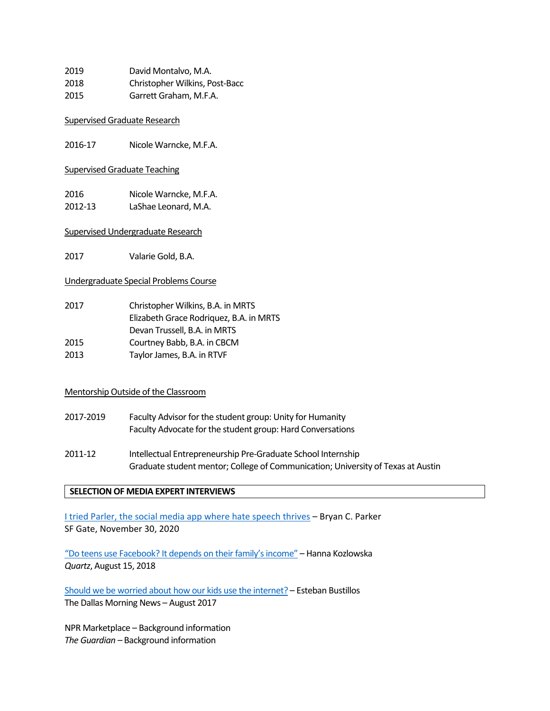| 2019 | David Montalvo, M.A.           |
|------|--------------------------------|
| 2018 | Christopher Wilkins, Post-Bacc |
| 2015 | Garrett Graham, M.F.A.         |

## Supervised Graduate Research

2016-17 Nicole Warncke, M.F.A.

## Supervised Graduate Teaching

2016 Nicole Warncke, M.F.A. 2012-13 LaShae Leonard, M.A.

## Supervised Undergraduate Research

2017 Valarie Gold, B.A.

## Undergraduate Special Problems Course

| 2017 | Christopher Wilkins, B.A. in MRTS       |
|------|-----------------------------------------|
|      | Elizabeth Grace Rodriquez, B.A. in MRTS |
|      | Devan Trussell, B.A. in MRTS            |
| 2015 | Courtney Babb, B.A. in CBCM             |
| 2013 | Taylor James, B.A. in RTVF              |

## Mentorship Outside of the Classroom

- 2017-2019 Faculty Advisor for the student group: Unity for Humanity Faculty Advocate for the student group: Hard Conversations
- 2011-12 Intellectual Entrepreneurship Pre-Graduate School Internship Graduate student mentor; College of Communication; University of Texas at Austin

## **SELECTION OF MEDIA EXPERT INTERVIEWS**

[I tried Parler, the social media app where hate speech thrives](https://www.sfgate.com/tech/article/I-tried-Parler-the-social-media-app-where-hate-15758094.php) – Bryan C. Parker SF Gate, November 30, 2020

["Do teens use Facebook? It depends on their family's income"](https://qz.com/1355827/do-teens-use-facebook-it-depends-on-their-familys-income/) – Hanna Kozlowska *Quartz*, August 15, 2018

[Should we be worried about how our kids use the internet?](https://www.dallasnews.com/business/technology/2017/08/07/worried-kids-use-internet) – Esteban Bustillos The Dallas Morning News – August 2017

NPR Marketplace – Background information *The Guardian –* Background information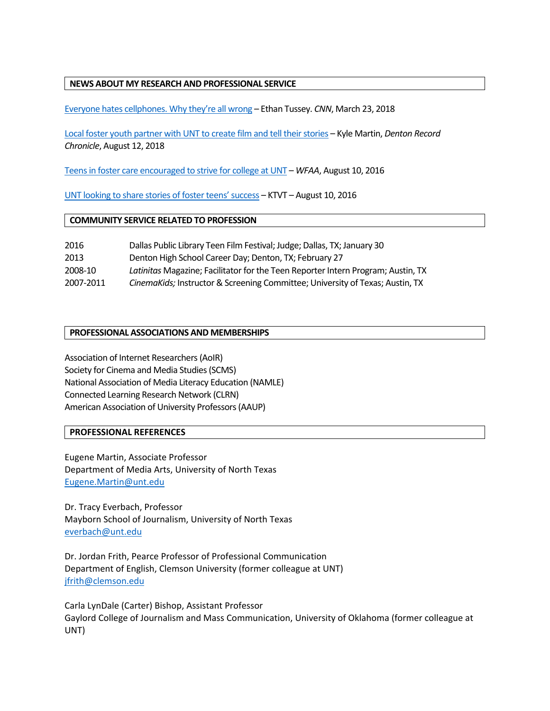## **NEWS ABOUT MY RESEARCH AND PROFESSIONAL SERVICE**

[Everyone hates cellphones. Why they're all wrong](https://www.cnn.com/2018/03/23/opinions/mobile-phones-in-between-moments-opinion-tussey/index.html) – Ethan Tussey. *CNN*, March 23, 2018

[Local foster youth partner with UNT to create film and tell their stories](https://www.dentonrc.com/news/local-foster-youth-partner-with-unt-to-create-film-and/article_4dbc24cc-61f7-548d-ba65-34b2c71d1d37.html) – Kyle Martin, *Denton Record Chronicle*, August 12, 2018

[Teens in foster care encouraged to strive for college at UNT](https://www.wfaa.com/article/news/local/denton-county/teens-in-foster-care-encouraged-to-strive-for-college-at-unt/293833669) – *WFAA*, August 10, 2016

[UNT looking to share stories of foster teens' success](https://dfw.cbslocal.com/2016/08/10/unt-looking-to-share-stories-of-foster-kids-success/) – KTVT – August 10, 2016

#### **COMMUNITY SERVICE RELATED TO PROFESSION**

| 2016      | Dallas Public Library Teen Film Festival; Judge; Dallas, TX; January 30          |
|-----------|----------------------------------------------------------------------------------|
| 2013      | Denton High School Career Day; Denton, TX; February 27                           |
| 2008-10   | Latinitas Magazine; Facilitator for the Teen Reporter Intern Program; Austin, TX |
| 2007-2011 | CinemaKids; Instructor & Screening Committee; University of Texas; Austin, TX    |

## **PROFESSIONAL ASSOCIATIONS AND MEMBERSHIPS**

Association of Internet Researchers (AoIR) Society for Cinema and Media Studies (SCMS) National Association of Media Literacy Education (NAMLE) Connected Learning Research Network (CLRN) American Association of University Professors (AAUP)

#### **PROFESSIONAL REFERENCES**

Eugene Martin, Associate Professor Department of Media Arts, University of North Texas Eugene.Martin@unt.edu

Dr. Tracy Everbach, Professor Mayborn School of Journalism, University of North Texas [everbach@unt.edu](mailto:everbach@unt.edu)

Dr. Jordan Frith, Pearce Professor of Professional Communication Department of English, Clemson University (former colleague at UNT) [jfrith@clemson.edu](mailto:jfrith@clemson.edu)

Carla LynDale (Carter) Bishop, Assistant Professor Gaylord College of Journalism and Mass Communication, University of Oklahoma (former colleague at UNT)